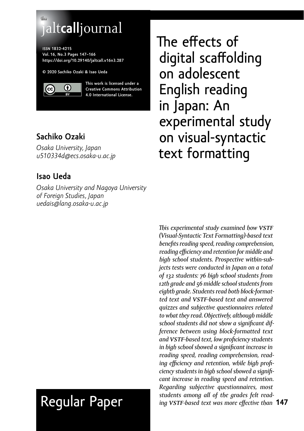# **the** jalt**call**journal

**issn 1832-4215 Vol. 16, No.3 Pages 147–166 https://doi.org/10.29140/jaltcall.v16n3.287**

**© 2020 Sachiko Ozaki & Isao Ueda**



**[This work is licensed under a](https://creativecommons.org/licenses/by/4.0/)  [Creative Commons Attribution](https://creativecommons.org/licenses/by/4.0/)  [4.0 International License](https://creativecommons.org/licenses/by/4.0/).**

# **Sachiko Ozaki**

*Osaka University, Japan u510334d@ecs.osaka-u.ac.jp*

# **Isao Ueda**

*Osaka University and Nagoya University of Foreign Studies, Japan uedais@lang.osaka-u.ac.jp* 

# Regular Paper

The effects of digital scaffolding on adolescent English reading in Japan: An experimental study on visual-syntactic text formatting

**147** *ing vstf-based text was more effective than This experimental study examined how vstf (Visual-Syntactic Text Formatting)-based text benefits reading speed, reading comprehension, reading efficiency and retention for middle and high school students. Prospective within-subjects tests were conducted in Japan on a total of 132 students: 76 high school students from 12th grade and 56 middle school students from eighth grade. Students read both block-formatted text and vstf-based text and answered quizzes and subjective questionnaires related to what they read. Objectively, although middle school students did not show a significant difference between using block-formatted text and vstf-based text, low proficiency students in high school showed a significant increase in reading speed, reading comprehension, reading efficiency and retention, while high proficiency students in high school showed a significant increase in reading speed and retention. Regarding subjective questionnaires, most students among all of the grades felt read-*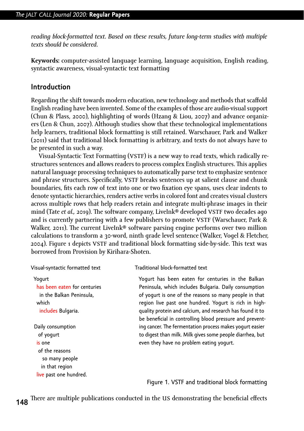*reading block-formatted text. Based on these results, future long-term studies with multiple texts should be considered.*

**Keywords:** computer-assisted language learning, language acquisition, English reading, syntactic awareness, visual-syntactic text formatting

#### **Introduction**

Regarding the shift towards modern education, new technology and methods that scaffold English reading have been invented. Some of the examples of those are audio-visual support (Chun & Plass, 2000), highlighting of words (Hzang & Liou, 2007) and advance organizers (Len & Chun, 2007). Although studies show that these technological implementations help learners, traditional block formatting is still retained. Warschauer, Park and Walker (2011) said that traditional block formatting is arbitrary, and texts do not always have to be presented in such a way.

Visual-Syntactic Text Formatting (VSTF) is a new way to read texts, which radically restructures sentences and allows readers to process complex English structures. This applies natural language processing techniques to automatically parse text to emphasize sentence and phrase structures. Specifically, VSTF breaks sentences up at salient clause and chunk boundaries, fits each row of text into one or two fixation eye spans, uses clear indents to denote syntactic hierarchies, renders active verbs in colored font and creates visual clusters across multiple rows that help readers retain and integrate multi-phrase images in their mind (Tate *et al., 2019*). The software company, LiveInk<sup>®</sup> developed VSTF two decades ago and is currently partnering with a few publishers to promote VSTF (Warschauer, Park & Walker, 2011). The current LiveInk<sup>®</sup> software parsing engine performs over two million calculations to transform a 30-word, ninth grade level sentence (Walker, Vogel & Fletcher, 2004). Figure 1 depicts VSTF and traditional block formatting side-by-side. This text was borrowed from Provision by Kirihara-Shoten.

Yogurt has been eaten for centuries in the Balkan Peninsula, which includes Bulgaria. Daily consumption of yogurt is one of the reasons

```
 so many people 
   in that region
live past one hundred.
```
#### Visual-syntactic formatted text Traditional block-formatted text

Yogurt has been eaten for centuries in the Balkan Peninsula, which includes Bulgaria. Daily consumption of yogurt is one of the reasons so many people in that region live past one hundred. Yogurt is rich in highquality protein and calcium, and research has found it to be beneficial in controlling blood pressure and preventing cancer. The fermentation process makes yogurt easier to digest than milk. Milk gives some people diarrhea, but even they have no problem eating yogurt.

Figure 1. VSTF and traditional block formatting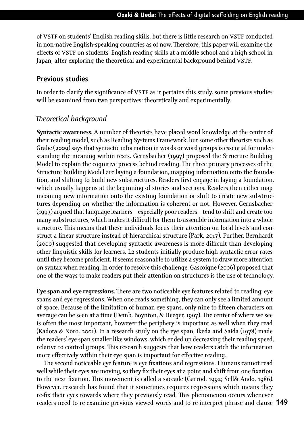of VSTF on students' English reading skills, but there is little research on VSTF conducted in non-native English-speaking countries as of now. Therefore, this paper will examine the effects of VSTF on students' English reading skills at a middle school and a high school in Japan, after exploring the theoretical and experimental background behind VSTF.

#### **Previous studies**

In order to clarify the significance of VSTF as it pertains this study, some previous studies will be examined from two perspectives: theoretically and experimentally.

#### *Theoretical background*

**Syntactic awareness.** A number of theorists have placed word knowledge at the center of their reading model, such as Reading Systems Framework, but some other theorists such as Grabe (2009) says that syntactic information in words or word groups is essential for understanding the meaning within texts. Gernsbacher (1997) proposed the Structure Building Model to explain the cognitive process behind reading. The three primary processes of the Structure Building Model are laying a foundation, mapping information onto the foundation, and shifting to build new substructures. Readers first engage in laying a foundation, which usually happens at the beginning of stories and sections. Readers then either map incoming new information onto the existing foundation or shift to create new substructures depending on whether the information is coherent or not. However, Gernsbacher (1997) argued that language learners – especially poor readers – tend to shift and create too many substructures, which makes it difficult for them to assemble information into a whole structure. This means that these individuals focus their attention on local levels and construct a linear structure instead of hierarchical structure (Park, 2017). Further, Bernhardt (2000) suggested that developing syntactic awareness is more difficult than developing other linguistic skills for learners. L2 students initially produce high syntactic error rates until they become proficient. It seems reasonable to utilize a system to draw more attention on syntax when reading. In order to resolve this challenge, Gascoigne (2006) proposed that one of the ways to make readers put their attention on structures is the use of technology.

**Eye span and eye regressions.** There are two noticeable eye features related to reading: eye spans and eye regressions. When one reads something, they can only see a limited amount of space. Because of the limitation of human eye spans, only nine to fifteen characters on average can be seen at a time (Demb, Boynton, & Heeger, 1997). The center of where we see is often the most important, however the periphery is important as well when they read (Kadota & Noro, 2001). In a research study on the eye span, Ikeda and Saida (1978) made the readers' eye span smaller like windows, which ended up decreasing their reading speed, relative to control groups. This research suggests that how readers catch the information more effectively within their eye span is important for effective reading.

**149** readers need to re-examine previous viewed words and to re-interpret phrase and clause The second noticeable eye feature is eye fixations and regressions. Humans cannot read well while their eyes are moving, so they fix their eyes at a point and shift from one fixation to the next fixation. This movement is called a saccade (Garrod, 1992; Sell& Ando, 1986). However, research has found that it sometimes requires regressions which means they re-fix their eyes towards where they previously read. This phenomenon occurs whenever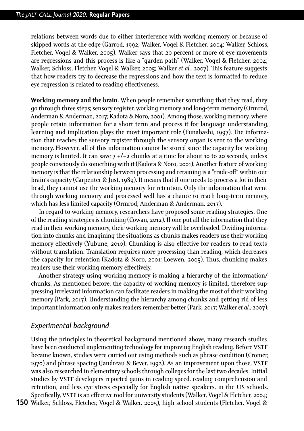relations between words due to either interference with working memory or because of skipped words at the edge (Garrod, 1992; Walker, Vogel & Fletcher, 2004; Walker, Schloss, Fletcher, Vogel & Walker, 2005). Walker says that 20 percent or more of eye movements are regressions and this process is like a "garden path" (Walker, Vogel & Fletcher, 2004; Walker, Schloss, Fletcher, Vogel & Walker, 2005; Walker *et al.,* 2007). This feature suggests that how readers try to decrease the regressions and how the text is formatted to reduce eye regression is related to reading effectiveness.

**Working memory and the brain.** When people remember something that they read, they go through three steps; sensory register, working memory and long-term memory (Ormrod, Anderman & Anderman, 2017; Kadota & Noro, 2001). Among those, working memory, where people retain information for a short term and process it for language understanding, learning and implication plays the most important role (Funabashi, 1997). The information that reaches the sensory register through the sensory organ is sent to the working memory. However, all of this information cannot be stored since the capacity for working memory is limited. It can save  $7 +/-2$  chunks at a time for about 10 to 20 seconds, unless people consciously do something with it (Kadota & Noro, 2001). Another feature of working memory is that the relationship between processing and retaining is a "trade-off" within our brain's capacity (Carpenter & Just, 1989). It means that if one needs to process a lot in their head, they cannot use the working memory for retention. Only the information that went through working memory and processed well has a chance to reach long-term memory, which has less limited capacity (Ormrod, Anderman & Anderman, 2017).

In regard to working memory, researchers have proposed some reading strategies. One of the reading strategies is chunking (Cowan, 2012). If one put all the information that they read in their working memory, their working memory will be overloaded. Dividing information into chunks and imagining the situations as chunks makes readers use their working memory effectively (Yubune, 2010). Chunking is also effective for readers to read texts without translation. Translation requires more processing than reading, which decreases the capacity for retention (Kadota & Noro, 2001; Loewen, 2005). Thus, chunking makes readers use their working memory effectively.

Another strategy using working memory is making a hierarchy of the information/ chunks. As mentioned before, the capacity of working memory is limited, therefore suppressing irrelevant information can facilitate readers in making the most of their working memory (Park, 2017). Understanding the hierarchy among chunks and getting rid of less important information only makes readers remember better (Park, 2017; Walker *et al.,* 2007).

#### *Experimental background*

Using the principles in theoretical background mentioned above, many research studies have been conducted implementing technology for improving English reading. Before VSTF became known, studies were carried out using methods such as phrase condition (Cromer, 1970) and phrase spacing (Jandreau & Bever, 1992). As an improvement upon those, vstf was also researched in elementary schools through colleges for the last two decades. Initial studies by VSTF developers reported gains in reading speed, reading comprehension and retention, and less eye stress especially for English native speakers, in the us schools. Specifically, VSTF is an effective tool for university students (Walker, Vogel & Fletcher, 2004;

**150** Walker, Schloss, Fletcher, Vogel & Walker, 2005), high school students (Fletcher, Vogel &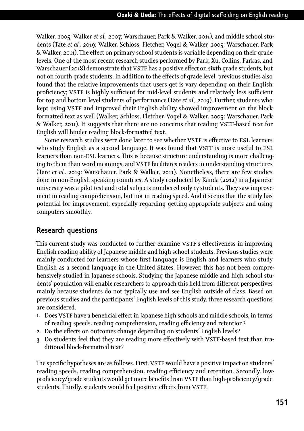Walker, 2005; Walker *et al.,* 2007; Warschauer, Park & Walker, 2011), and middle school students (Tate *et al.,* 2019; Walker, Schloss, Fletcher, Vogel & Walker, 2005; Warschauer, Park & Walker, 2011). The effect on primary school students is variable depending on their grade levels. One of the most recent research studies performed by Park, Xu, Collins, Farkas, and Warschauer (2018) demonstrate that VSTF has a positive effect on sixth grade students, but not on fourth grade students. In addition to the effects of grade level, previous studies also found that the relative improvements that users get is vary depending on their English proficiency; VSTF is highly sufficient for mid-level students and relatively less sufficient for top and bottom level students of performance (Tate *et al.,* 2019). Further, students who kept using VSTF and improved their English ability showed improvement on the block formatted text as well (Walker, Schloss, Fletcher, Vogel & Walker, 2005; Warschauer, Park & Walker, 2011). It suggests that there are no concerns that reading vstf-based text for English will hinder reading block-formatted text.

Some research studies were done later to see whether VSTF is effective to ESL learners who study English as a second language. It was found that VSTF is more useful to ESL learners than non-esl learners. This is because structure understanding is more challenging to them than word meanings, and VSTF facilitates readers in understanding structures (Tate *et al.,* 2019; Warschauer, Park & Walker, 2011). Nonetheless, there are few studies done in non-English speaking countries. A study conducted by Kanda (2012) in a Japanese university was a pilot test and total subjects numbered only 17 students. They saw improvement in reading comprehension, but not in reading speed. And it seems that the study has potential for improvement, especially regarding getting appropriate subjects and using computers smoothly.

# **Research questions**

This current study was conducted to further examine VSTF's effectiveness in improving English reading ability of Japanese middle and high school students. Previous studies were mainly conducted for learners whose first language is English and learners who study English as a second language in the United States. However, this has not been comprehensively studied in Japanese schools. Studying the Japanese middle and high school students' population will enable researchers to approach this field from different perspectives mainly because students do not typically use and see English outside of class. Based on previous studies and the participants' English levels of this study, three research questions are considered.

- 1. Does VSTF have a beneficial effect in Japanese high schools and middle schools, in terms of reading speeds, reading comprehension, reading efficiency and retention?
- 2. Do the effects on outcomes change depending on students' English levels?
- 3. Do students feel that they are reading more effectively with vstf-based text than traditional block-formatted text?

The specific hypotheses are as follows. First, VSTF would have a positive impact on students' reading speeds, reading comprehension, reading efficiency and retention. Secondly, lowproficiency/grade students would get more benefits from VSTF than high-proficiency/grade students. Thirdly, students would feel positive effects from VSTF.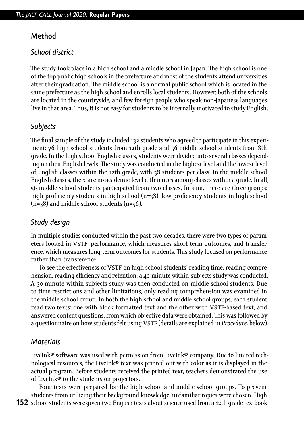#### **Method**

#### *School district*

The study took place in a high school and a middle school in Japan. The high school is one of the top public high schools in the prefecture and most of the students attend universities after their graduation. The middle school is a normal public school which is located in the same prefecture as the high school and enrolls local students. However, both of the schools are located in the countryside, and few foreign people who speak non-Japanese languages live in that area. Thus, it is not easy for students to be internally motivated to study English.

# *Subjects*

The final sample of the study included 132 students who agreed to participate in this experiment: 76 high school students from 12th grade and 56 middle school students from 8th grade. In the high school English classes, students were divided into several classes depending on their English levels. The study was conducted in the highest level and the lowest level of English classes within the 12th grade, with 38 students per class. In the middle school English classes, there are no academic-level differences among classes within a grade. In all, 56 middle school students participated from two classes. In sum, there are three groups: high proficiency students in high school (n=38), low proficiency students in high school (n=38) and middle school students (n=56).

# *Study design*

In multiple studies conducted within the past two decades, there were two types of parameters looked in vstf: performance, which measures short-term outcomes, and transference, which measures long-term outcomes for students. This study focused on performance rather than transference.

To see the effectiveness of VSTF on high school students' reading time, reading comprehension, reading efficiency and retention, a 40-minute within-subjects study was conducted. A 30-minute within-subjects study was then conducted on middle school students. Due to time restrictions and other limitations, only reading comprehension was examined in the middle school group. In both the high school and middle school groups, each student read two texts: one with block formatted text and the other with vstf-based text, and answered content questions, from which objective data were obtained. This was followed by a questionnaire on how students felt using VSTF (details are explained in *Procedure*, below).

# *Materials*

LiveInk® software was used with permission from LiveInk® company. Due to limited technological resources, the LiveInk® text was printed out with color as it is displayed in the actual program. Before students received the printed text, teachers demonstrated the use of LiveInk® to the students on projectors.

**152** school students were given two English texts about science used from a 12th grade textbook Four texts were prepared for the high school and middle school groups. To prevent students from utilizing their background knowledge, unfamiliar topics were chosen. High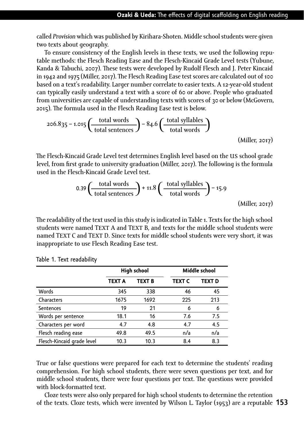called *Provision* which was published by Kirihara-Shoten. Middle school students were given two texts about geography.

To ensure consistency of the English levels in these texts, we used the following reputable methods: the Flesch Reading Ease and the Flesch-Kincaid Grade Level tests (Yubune, Kanda & Tabuchi, 2007). These tests were developed by Rudolf Flesch and J. Peter Kincaid in 1942 and 1975 (Miller, 2017). The Flesch Reading Ease test scores are calculated out of 100 based on a text's readability. Larger number correlate to easier texts. A 12-year-old student can typically easily understand a text with a score of 60 or above. People who graduated from universities are capable of understanding texts with scores of 30 or below (McGovern, 2015). The formula used in the Flesch Reading Ease test is below.

$$
206.835 - 1.015 \left(\frac{\text{total words}}{\text{total sentences}}\right) - 84.6 \left(\frac{\text{total syllables}}{\text{total words}}\right)
$$
\n(Miller, 2017)

The Flesch-Kincaid Grade Level test determines English level based on the us school grade level, from first grade to university graduation (Miller, 2017). The following is the formula used in the Flesch-Kincaid Grade Level test.

$$
0.39 \left(\frac{\text{total words}}{\text{total sentences}}\right) + 11.8 \left(\frac{\text{total syllables}}{\text{total words}}\right) - 15.9
$$
\n(Miller, 2017)

The readability of the text used in this study is indicated in Table 1. Texts for the high school students were named Text A and Text B, and texts for the middle school students were named Text C and Text D. Since texts for middle school students were very short, it was inappropriate to use Flesch Reading Ease test.

|                            |               | <b>High school</b> | Middle school |               |  |
|----------------------------|---------------|--------------------|---------------|---------------|--|
|                            | <b>TEXT A</b> | <b>TEXT B</b>      | <b>TEXT C</b> | <b>TEXT D</b> |  |
| Words                      | 345           | 338                | 46            | 45            |  |
| Characters                 | 1675          | 1692               | 225           | 213           |  |
| Sentences                  | 19            | 21                 | 6             | 6             |  |
| Words per sentence         | 18.1          | 16                 | 7.6           | 7.5           |  |
| Characters per word        | 4.7           | 4.8                | 4.7           | 4.5           |  |
| Flesch reading ease        | 49.8          | 49.5               | n/a           | n/a           |  |
| Flesch-Kincaid grade level | 10.3          | 10.3               | 8.4           | 8.3           |  |

Table 1. Text readability

True or false questions were prepared for each text to determine the students' reading comprehension. For high school students, there were seven questions per text, and for middle school students, there were four questions per text. The questions were provided with block-formatted text.

**153** of the texts. Cloze tests, which were invented by Wilson L. Taylor (1953) are a reputable Cloze tests were also only prepared for high school students to determine the retention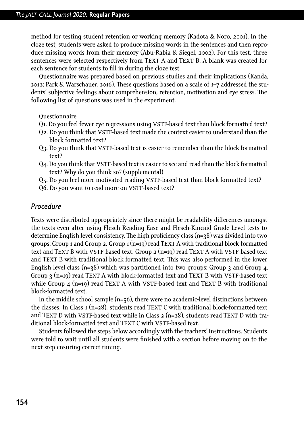method for testing student retention or working memory (Kadota & Noro, 2001). In the cloze test, students were asked to produce missing words in the sentences and then reproduce missing words from their memory (Abu-Rabia & Siegel, 2002). For this test, three sentences were selected respectively from Text A and Text B. A blank was created for each sentence for students to fill in during the cloze test.

Questionnaire was prepared based on previous studies and their implications (Kanda, 2012; Park & Warschauer, 2016). These questions based on a scale of 1–7 addressed the students' subjective feelings about comprehension, retention, motivation and eye stress. The following list of questions was used in the experiment.

Questionnaire

- Q1. Do you feel fewer eye regressions using vstf-based text than block formatted text?
- Q2. Do you think that vstf-based text made the context easier to understand than the block formatted text?
- Q3. Do you think that vstf-based text is easier to remember than the block formatted text?
- Q4. Do you think that VSTF-based text is easier to see and read than the block formatted text? Why do you think so? (supplemental)
- Q5. Do you feel more motivated reading vstf-based text than block formatted text?
- Q6. Do you want to read more on VSTF-based text?

#### *Procedure*

Texts were distributed appropriately since there might be readability differences amongst the texts even after using Flesch Reading Ease and Flesch-Kincaid Grade Level tests to determine English level consistency. The high proficiency class (n=38) was divided into two groups: Group 1 and Group 2. Group  $1(n=19)$  read TEXT A with traditional block-formatted text and Text B with vstf-based text. Group 2 (n=19) read Text A with vstf-based text and Text B with traditional block formatted text. This was also performed in the lower English level class  $(n=38)$  which was partitioned into two groups: Group 3 and Group 4. Group  $3$  (n=19) read TEXT A with block-formatted text and TEXT B with VSTF-based text while Group  $4$  (n=19) read TEXT A with VSTF-based text and TEXT B with traditional block-formatted text.

In the middle school sample (n=56), there were no academic-level distinctions between the classes. In Class 1 (n=28), students read TEXT C with traditional block-formatted text and TEXT D with VSTF-based text while in Class  $2$  (n= $28$ ), students read TEXT D with traditional block-formatted text and TEXT C with VSTF-based text.

Students followed the steps below accordingly with the teachers' instructions. Students were told to wait until all students were finished with a section before moving on to the next step ensuring correct timing.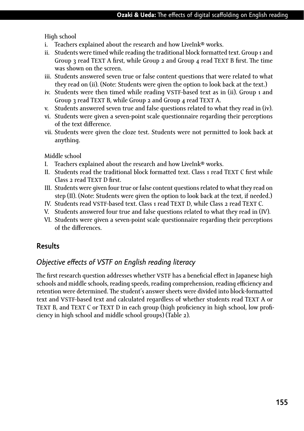#### High school

- i. Teachers explained about the research and how LiveInk® works.
- ii. Students were timed while reading the traditional block formatted text. Group 1 and Group 3 read TEXT A first, while Group 2 and Group 4 read TEXT B first. The time was shown on the screen.
- iii. Students answered seven true or false content questions that were related to what they read on (ii). (Note: Students were given the option to look back at the text.)
- iv. Students were then timed while reading VSTF-based text as in (ii). Group 1 and Group 3 read TEXT B, while Group 2 and Group 4 read TEXT A.
- v. Students answered seven true and false questions related to what they read in (iv).
- vi. Students were given a seven-point scale questionnaire regarding their perceptions of the text difference.
- vii. Students were given the cloze test. Students were not permitted to look back at anything.

#### Middle school

- I. Teachers explained about the research and how LiveInk® works.
- II. Students read the traditional block formatted text. Class 1 read TEXT C first while Class 2 read TEXT D first.
- III. Students were given four true or false content questions related to what they read on step (II). (Note: Students were given the option to look back at the text, if needed.)
- IV. Students read VSTF-based text. Class 1 read TEXT D, while Class 2 read TEXT C.
- V. Students answered four true and false questions related to what they read in (IV).
- VI. Students were given a seven-point scale questionnaire regarding their perceptions of the differences.

#### **Results**

# *Objective effects of VSTF on English reading literacy*

The first research question addresses whether VSTF has a beneficial effect in Japanese high schools and middle schools, reading speeds, reading comprehension, reading efficiency and retention were determined. The student's answer sheets were divided into block-formatted text and VSTF-based text and calculated regardless of whether students read TEXT A or Text B, and Text C or Text D in each group (high proficiency in high school, low proficiency in high school and middle school groups) (Table 2).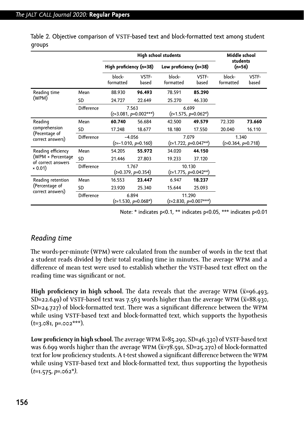|                                                                                 |            | High school students              |                                                   |                                  |                | Middle school<br>students     |                |
|---------------------------------------------------------------------------------|------------|-----------------------------------|---------------------------------------------------|----------------------------------|----------------|-------------------------------|----------------|
|                                                                                 |            |                                   | High proficiency (n=38)<br>Low proficiency (n=38) |                                  |                | $(n=56)$                      |                |
|                                                                                 |            | block-<br>formatted               | VSTF-<br>based                                    | block-<br>formatted              | VSTF-<br>based | block-<br>formatted           | VSTF-<br>based |
| Reading time                                                                    | Mean       | 88.930                            | 96.493                                            | 78.591                           | 85.290         |                               |                |
| (WPM)                                                                           | SD         | 24.727                            | 22.649                                            | 25.270                           | 46.330         |                               |                |
|                                                                                 | Difference | 7.563<br>$(t=3.081, p=0.002***)$  |                                                   | 6.699<br>$(t=1.575, p=0.062*)$   |                |                               |                |
| Reading<br>comprehension<br>(Pecentage of<br>correct answers)                   | Mean       | 60.740                            | 56.684                                            | 42.500                           | 49.579         | 72.320                        | 73.660         |
|                                                                                 | <b>SD</b>  | 17.248                            | 18.677                                            | 18.180                           | 17.550         | 20.040                        | 16.110         |
|                                                                                 | Difference | $-4.056$<br>$(t=-1.010, p=0.160)$ |                                                   | 7.079<br>$(t=1.722, p=0.047**)$  |                | 1.340<br>$(t=0.364, p=0.718)$ |                |
| Reading efficiency<br>(WPM × Percentage<br>of correct answers<br>$\times$ 0.01) | Mean       | 54.205                            | 55.972                                            | 34.020                           | 44.150         |                               |                |
|                                                                                 | SD         | 21.446                            | 27.803                                            | 19.233                           | 37.120         |                               |                |
|                                                                                 | Difference | 1.767<br>(t=0.379, p=0.354)       |                                                   | 10.130<br>$(t=1.775, p=0.042**)$ |                |                               |                |
| Reading retention<br>(Percentage of<br>correct answers)                         | Mean       | 16.553                            | 23.447                                            | 6.947                            | 18.237         |                               |                |
|                                                                                 | SD         | 23.920                            | 25.340                                            | 15.644                           | 25.093         |                               |                |
|                                                                                 | Difference | 6.894<br>$(t=1.530, p=0.068*)$    |                                                   | 11.290<br>(t=2.830, p=0.007***)  |                |                               |                |

Table 2. Objective comparison of VSTF-based text and block-formatted text among student groups

Note: \* indicates p<0.1, \*\* indicates p<0.05, \*\*\* indicates p<0.01

# *Reading time*

The words-per-minute (wpm) were calculated from the number of words in the text that a student reads divided by their total reading time in minutes. The average wpm and a difference of mean test were used to establish whether the VSTF-based text effect on the reading time was significant or not.

**High proficiency in high school.** The data reveals that the average WPM  $(\bar{x}=96.493,$ SD=22.649) of VSTF-based text was 7.563 words higher than the average WPM  $(\bar{x}=88.930,$ SD=24.727) of block-formatted text. There was a significant difference between the wpm while using VSTF-based text and block-formatted text, which supports the hypothesis  $(t=3.081, p=.002***).$ 

Low proficiency in high school. The average WPM  $\bar{x}=85.29$ , SD=46.330) of VSTF-based text was 6.699 words higher than the average WPM  $(\overline{x}=78.591, SD=25.270)$  of block-formatted text for low proficiency students. A t-test showed a significant difference between the wpm while using VSTF-based text and block-formatted text, thus supporting the hypothesis (*t*=1.575, *p*=.062\**).*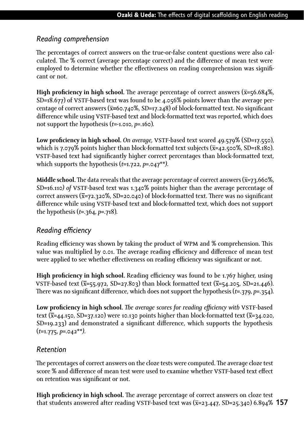# *Reading comprehension*

The percentages of correct answers on the true-or-false content questions were also calculated. The % correct (average percentage correct) and the difference of mean test were employed to determine whether the effectiveness on reading comprehension was significant or not.

**High proficiency in high school.** The average percentage of correct answers  $(\bar{x}=56.684\%)$ , SD=18.677) of VSTF-based text was found to be  $4.056\%$  points lower than the average percentage of correct answers (x**=**60.740%, SD=17.248) of block-formatted text. No significant difference while using VSTF-based text and block-formatted text was reported, which does not support the hypothesis (*t*=-1.010, *p*=.160)*.*

Low proficiency in high school. On average, VSTF-based text scored 49.579% (SD=17.550), which is 7.079% points higher than block-formatted text subjects ( $\overline{x}$ =42.500%, SD=18.180). VSTF-based text had significantly higher correct percentages than block-formatted text, which supports the hypothesis (*t*=1.722, *p*=.047\**\*).*

**Middle school.** The data reveals that the average percentage of correct answers  $(\bar{x}$ =73.660%, SD=16.110) of VSTF-based text was 1.340% points higher than the average percentage of correct answers ( $\overline{x}$ =72.320%, SD=20.040) of block-formatted text. There was no significant difference while using VSTF-based text and block-formatted text, which does not support the hypothesis (*t*=.364, *p*=.718)*.*

# *Reading efficiency*

Reading efficiency was shown by taking the product of wpm and % comprehension. This value was multiplied by 0.01. The average reading efficiency and difference of mean test were applied to see whether effectiveness on reading efficiency was significant or not.

**High proficiency in high school.** Reading efficiency was found to be 1.767 higher, using VSTF-based text ( $\bar{x}$ =55.972, SD=27.803) than block formatted text ( $\bar{x}$ =54.205, SD=21.446). There was no significant difference, which does not support the hypothesis (*t*=.379, *p*=.354)*.*

Low proficiency in high school. The average scores for reading efficiency with VSTF-based text ( $\overline{x}$ =44.150, SD=37.120) were 10.130 points higher than block-formatted text ( $\overline{x}$ =34.020, SD=19.233) and demonstrated a significant difference, which supports the hypothesis (*t*=1.775, *p*=.042\**\*).*

# *Retention*

The percentages of correct answers on the cloze tests were computed. The average cloze test score % and difference of mean test were used to examine whether VSTF-based text effect on retention was significant or not.

that students answered after reading VSTF-based text was (x=23.447, SD=25.340) 6.894% **157 High proficiency in high school.** The average percentage of correct answers on cloze test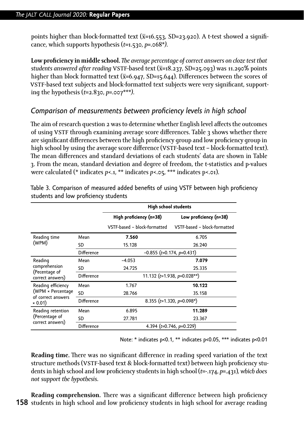points higher than block-formatted text  $(\bar{x}=16.553, SD=23.920)$ . A t-test showed a significance, which supports hypothesis (*t*=1.530, *p*=.068\**).* 

**Low proficiency in middle school.** *The average percentage of correct answers on cloze test that students answered after reading VSTF-based text*  $(\bar{x}=18.237, SD=25.093)$  was 11.290% points higher than block formatted text ( $\bar{x}$ =6.947, SD=15.644). Differences between the scores of vstf-based text subjects and block-formatted text subjects were very significant, supporting the hypothesis (*t*=2.830, *p*=.007\**\*\*).*

### *Comparison of measurements between proficiency levels in high school*

The aim of research question 2 was to determine whether English level affects the outcomes of using vstf through examining average score differences. Table 3 shows whether there are significant differences between the high proficiency group and low proficiency group in high school by using the average score difference (VSTF-based text – block-formatted text). The mean differences and standard deviations of each students' data are shown in Table 3. From the mean, standard deviation and degree of freedom, the t-statistics and p-values were calculated (\* indicates  $p \le 1$ , \*\* indicates  $p \le 0$ , \*\*\* indicates  $p \le 01$ ).

|                                                                                 |            | High school students               |                                 |  |  |
|---------------------------------------------------------------------------------|------------|------------------------------------|---------------------------------|--|--|
|                                                                                 |            | High proficiency (n=38)            | Low proficiency (n=38)          |  |  |
|                                                                                 |            | VSTF-based - block-formatted       | VSTF-based - block-formatted    |  |  |
| Reading time<br>(WPM)                                                           | Mean       | 7.560                              | 6.705                           |  |  |
|                                                                                 | SD         | 15.128                             | 26.240                          |  |  |
|                                                                                 | Difference | $-0.855$ (t=0.174, p=0.431)        |                                 |  |  |
| Reading<br>comprehension<br>(Pecentage of<br>correct answers)                   | Mean       | $-4.053$                           | 7.079                           |  |  |
|                                                                                 | SD         | 24.725                             | 25.335                          |  |  |
|                                                                                 | Difference | 11.132 ( $t=1.938$ , $p=0.028**$ ) |                                 |  |  |
| Reading efficiency<br>(WPM × Percentage<br>of correct answers<br>$\times$ 0.01) | Mean       | 1.767                              | 10.122                          |  |  |
|                                                                                 | SD         | 28.766                             | 35.158                          |  |  |
|                                                                                 | Difference | 8.355 ( $t=1.320$ , $p=0.098$ *)   |                                 |  |  |
| Reading retention<br>(Percentage of<br>correct answers)                         | Mean       | 6.895                              | 11.289                          |  |  |
|                                                                                 | SD         | 27.781                             | 23.367                          |  |  |
|                                                                                 | Difference |                                    | 4.394 ( $t=0.746$ , $p=0.229$ ) |  |  |

Table 3. Comparison of measured added benefits of using VSTF between high proficiency students and low proficiency students

Note: \* indicates p<0.1, \*\* indicates p<0.05, \*\*\* indicates p<0.01

**Reading time.** There was no significant difference in reading speed variation of the text structure methods (VSTF-based text & block-formatted text) between high proficiency students in high school and low proficiency students in high school (*t*=-.174, *p*=.431)*, which does not support the hypothesis.*

**158** students in high school and low proficiency students in high school for average reading **Reading comprehension.** There was a significant difference between high proficiency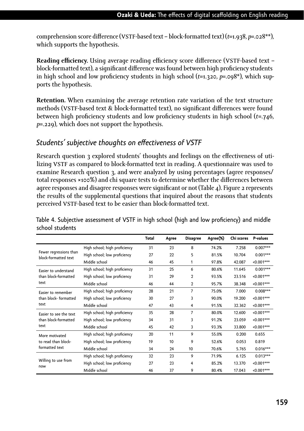comprehension score difference (vstf-based text – block-formatted text) (*t*=1.938, *p*=.028\**\**), which supports the hypothesis.

**Reading efficiency.** Using average reading efficiency score difference (VSTF-based text – block-formatted text), a significant difference was found between high proficiency students in high school and low proficiency students in high school (*t*=1.320, *p*=.098\*), which supports the hypothesis.

**Retention***.* When examining the average retention rate variation of the text structure methods (VSTF-based text & block-formatted text), no significant differences were found between high proficiency students and low proficiency students in high school (*t*=.746, *p*=.229), which does not support the hypothesis.

### *Students' subjective thoughts on effectiveness of VSTF*

Research question 3 explored students' thoughts and feelings on the effectiveness of utilizing VSTF as compared to block-formatted text in reading. A questionnaire was used to examine Research question 3, and were analyzed by using percentages (agree responses/ total responses ×100%) and chi square tests to determine whether the differences between agree responses and disagree responses were significant or not (Table 4). Figure 2 represents the results of the supplemental questions that inquired about the reasons that students perceived VSTF-based text to be easier than block-formatted text.

|                                                         |                               | Total | Agree | <b>Disagree</b> | Agree(%) | Chi scores | P-values     |
|---------------------------------------------------------|-------------------------------|-------|-------|-----------------|----------|------------|--------------|
| Fewer regressions than<br>block-formatted text          | High school; high proficiency | 31    | 23    | 8               | 74.2%    | 7.258      | $0.007***$   |
|                                                         | High school; low proficiency  | 27    | 22    | 5               | 81.5%    | 10.704     | $0.001***$   |
|                                                         | Middle school                 | 46    | 45    | 1               | 97.8%    | 42.087     | $< 0.001***$ |
| Easier to understand                                    | High school; high proficiency | 31    | 25    | 6               | 80.6%    | 11.645     | $0.001***$   |
| than block-formatted                                    | High school; low proficiency  | 31    | 29    | $\overline{2}$  | 93.5%    | 23.516     | $< 0.001***$ |
| text                                                    | Middle school                 | 46    | 44    | $\overline{2}$  | 95.7%    | 38.348     | $< 0.001***$ |
| Easier to remember                                      | High school; high proficiency | 28    | 21    | 7               | 75.0%    | 7.000      | $0.008***$   |
| than block-formatted                                    | High school; low proficiency  | 30    | 27    | 3               | 90.0%    | 19.200     | $<0.001***$  |
| text                                                    | Middle school                 | 47    | 43    | 4               | 91.5%    | 32.362     | $< 0.001***$ |
| Easier to see the text<br>than block-formatted<br>text  | High school; high proficiency | 35    | 28    | 7               | 80.0%    | 12.600     | $<0.001***$  |
|                                                         | High school; low proficiency  | 34    | 31    | 3               | 91.2%    | 23.059     | $<0.001***$  |
|                                                         | Middle school                 | 45    | 42    | 3               | 93.3%    | 33.800     | $<0.001***$  |
| More motivated<br>to read than block-<br>formatted text | High school; high proficiency | 20    | 11    | 9               | 55.0%    | 0.200      | 0.655        |
|                                                         | High school; low proficiency  | 19    | 10    | 9               | 52.6%    | 0.053      | 0.819        |
|                                                         | Middle school                 | 34    | 24    | 10              | 70.6%    | 5.765      | $0.016***$   |
| Willing to use from<br>now                              | High school; high proficiency | 32    | 23    | 9               | 71.9%    | 6.125      | $0.013***$   |
|                                                         | High school; low proficiency  | 27    | 23    | 4               | 85.2%    | 13.370     | $<0.001***$  |
|                                                         | Middle school                 | 46    | 37    | 9               | 80.4%    | 17.043     | $<0.001***$  |

Table 4. Subjective assessment of VSTF in high school (high and low proficiency) and middle school students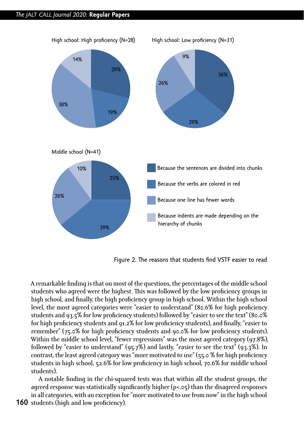

Figure 2. The reasons that students find VSTF easier to read

A remarkable finding is that on most of the questions, the percentages of the middle school students who agreed were the highest. This was followed by the low proficiency groups in high school, and finally, the high proficiency group in high school. Within the high school level, the most agreed categories were "easier to understand" (80.6% for high proficiency students and 93.5% for low proficiency students) followed by "easier to see the text" (80.0% for high proficiency students and 91.2% for low proficiency students), and finally, "easier to remember" (75.0% for high proficiency students and 90.0% for low proficiency students). Within the middle school level, "fewer regressions" was the most agreed category (97.8%), followed by "easier to understand" (95.7%) and lastly, "easier to see the text" (93.3%). In contrast, the least agreed category was "more motivated to use" (55.0 % for high proficiency students in high school, 52.6% for low proficiency in high school, 70.6% for middle school students).

A notable finding in the chi-squared tests was that within all the student groups, the agreed response was statistically significantly higher (p<.05) than the disagreed responses in all categories, with an exception for "more motivated to use from now" in the high school

160 students (high and low proficiency).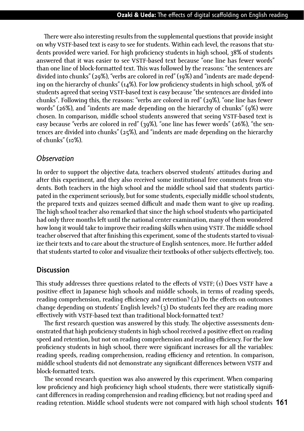There were also interesting results from the supplemental questions that provide insight on why VSTF-based text is easy to see for students. Within each level, the reasons that students provided were varied. For high proficiency students in high school, 38% of students answered that it was easier to see vstf-based text because "one line has fewer words" than one line of block-formatted text. This was followed by the reasons: "the sentences are divided into chunks" (29%), "verbs are colored in red" (19%) and "indents are made depending on the hierarchy of chunks" (14%). For low proficiency students in high school, 36% of students agreed that seeing VSTF-based text is easy because "the sentences are divided into chunks". Following this, the reasons: "verbs are colored in red" (29%), "one line has fewer words" (26%), and "indents are made depending on the hierarchy of chunks" (9%) were chosen. In comparison, middle school students answered that seeing vstf-based text is easy because "verbs are colored in red" (39%), "one line has fewer words" (26%), "the sentences are divided into chunks" (25%), and "indents are made depending on the hierarchy of chunks" (10%).

#### *Observation*

In order to support the objective data, teachers observed students' attitudes during and after this experiment, and they also received some institutional free comments from students. Both teachers in the high school and the middle school said that students participated in the experiment seriously, but for some students, especially middle school students, the prepared texts and quizzes seemed difficult and made them want to give up reading. The high school teacher also remarked that since the high school students who participated had only three months left until the national center examination, many of them wondered how long it would take to improve their reading skills when using VSTF. The middle school teacher observed that after finishing this experiment, some of the students started to visualize their texts and to care about the structure of English sentences, more. He further added that students started to color and visualize their textbooks of other subjects effectively, too.

#### **Discussion**

This study addresses three questions related to the effects of VSTF;  $(i)$  Does VSTF have a positive effect in Japanese high schools and middle schools, in terms of reading speeds, reading comprehension, reading efficiency and retention? (2) Do the effects on outcomes change depending on students' English levels? (3) Do students feel they are reading more effectively with VSTF-based text than traditional block-formatted text?

The first research question was answered by this study. The objective assessments demonstrated that high proficiency students in high school received a positive effect on reading speed and retention, but not on reading comprehension and reading efficiency. For the low proficiency students in high school, there were significant increases for all the variables: reading speeds, reading comprehension, reading efficiency and retention. In comparison, middle school students did not demonstrate any significant differences between VSTF and block-formatted texts.

**161** reading retention. Middle school students were not compared with high school students The second research question was also answered by this experiment. When comparing low proficiency and high proficiency high school students, there were statistically significant differences in reading comprehension and reading efficiency, but not reading speed and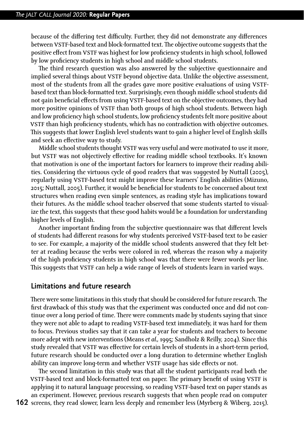because of the differing test difficulty. Further, they did not demonstrate any differences between vstf-based text and block-formatted text. The objective outcome suggests that the positive effect from VSTF was highest for low proficiency students in high school, followed by low proficiency students in high school and middle school students.

The third research question was also answered by the subjective questionnaire and implied several things about VSTF beyond objective data. Unlike the objective assessment, most of the students from all the grades gave more positive evaluations of using VSTFbased text than block-formatted text. Surprisingly, even though middle school students did not gain beneficial effects from using vstf-based text on the objective outcomes, they had more positive opinions of VSTF than both groups of high school students. Between high and low proficiency high school students, low proficiency students felt more positive about VSTF than high proficiency students, which has no contradiction with objective outcomes. This suggests that lower English level students want to gain a higher level of English skills and seek an effective way to study.

Middle school students thought VSTF was very useful and were motivated to use it more, but VSTF was not objectively effective for reading middle school textbooks. It's known that motivation is one of the important factors for learners to improve their reading abilities. Considering the virtuous cycle of good readers that was suggested by Nuttall (2005), regularly using vstf-based text might improve these learners' English abilities (Mizuno, 2015; Nuttall, 2005). Further, it would be beneficial for students to be concerned about text structures when reading even simple sentences, as reading style has implications toward their futures. As the middle school teacher observed that some students started to visualize the text, this suggests that these good habits would be a foundation for understanding higher levels of English.

Another important finding from the subjective questionnaire was that different levels of students had different reasons for why students perceived vstf-based text to be easier to see. For example, a majority of the middle school students answered that they felt better at reading because the verbs were colored in red, whereas the reason why a majority of the high proficiency students in high school was that there were fewer words per line. This suggests that VSTF can help a wide range of levels of students learn in varied ways.

#### **Limitations and future research**

There were some limitations in this study that should be considered for future research. The first drawback of this study was that the experiment was conducted once and did not continue over a long period of time. There were comments made by students saying that since they were not able to adapt to reading VSTF-based text immediately, it was hard for them to focus. Previous studies say that it can take a year for students and teachers to become more adept with new interventions (Means *et al.,* 1995; Sandholz & Reilly, 2004). Since this study revealed that VSTF was effective for certain levels of students in a short-term period, future research should be conducted over a long duration to determine whether English ability can improve long-term and whether VSTF usage has side effects or not.

The second limitation in this study was that all the student participants read both the VSTF-based text and block-formatted text on paper. The primary benefit of using VSTF is applying it to natural language processing, so reading vstf-based text on paper stands as an experiment. However, previous research suggests that when people read on computer

**162** screens, they read slower, learn less deeply and remember less (Myrberg & Wiberg, 2015).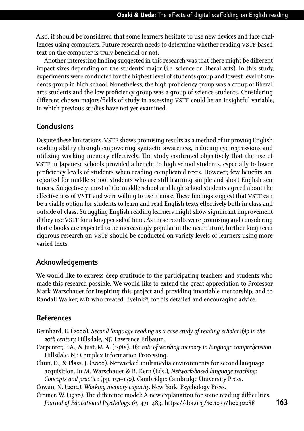Also, it should be considered that some learners hesitate to use new devices and face challenges using computers. Future research needs to determine whether reading VSTF-based text on the computer is truly beneficial or not.

Another interesting finding suggested in this research was that there might be different impact sizes depending on the students' major (i.e. science or liberal arts). In this study, experiments were conducted for the highest level of students group and lowest level of students group in high school. Nonetheless, the high proficiency group was a group of liberal arts students and the low proficiency group was a group of science students. Considering different chosen majors/fields of study in assessing VSTF could be an insightful variable, in which previous studies have not yet examined.

### **Conclusions**

Despite these limitations, VSTF shows promising results as a method of improving English reading ability through empowering syntactic awareness, reducing eye regressions and utilizing working memory effectively. The study confirmed objectively that the use of vstf in Japanese schools provided a benefit to high school students, especially to lower proficiency levels of students when reading complicated texts. However, few benefits are reported for middle school students who are still learning simple and short English sentences. Subjectively, most of the middle school and high school students agreed about the effectiveness of VSTF and were willing to use it more. These findings suggest that VSTF can be a viable option for students to learn and read English texts effectively both in-class and outside of class. Struggling English reading learners might show significant improvement if they use VSTF for a long period of time. As these results were promising and considering that e-books are expected to be increasingly popular in the near future, further long-term rigorous research on VSTF should be conducted on variety levels of learners using more varied texts.

#### **Acknowledgements**

We would like to express deep gratitude to the participating teachers and students who made this research possible. We would like to extend the great appreciation to Professor Mark Warschauer for inspiring this project and providing invariable mentorship, and to Randall Walker, MD who created LiveInk®, for his detailed and encouraging advice.

#### **References**

- Bernhard, E. (2000). *Second language reading as a case study of reading scholarship in the 20th century.* Hillsdale, nj: Lawrence Erlbaum.
- Carpenter, P.A., & Just, M.A. (1988). *The role of working memory in language comprehension.*  Hillsdale, NJ: Complex Information Processing.
- Chun, D., & Plass, J. (2000). Networked multimedia environments for second language acquisition. In M. Warschauer & R. Kern (Eds.), *Network-based language teaching: Concepts and practice* (pp. 151–170). Cambridge: Cambridge University Press.

Cowan, N. (2012). *Working memory capacity.* New York: Psychology Press.

Cromer, W. (1970). The difference model: A new explanation for some reading difficulties*. Journal of Educational Psychology, 61,* 471–483. https://doi.org/10.1037/h0030288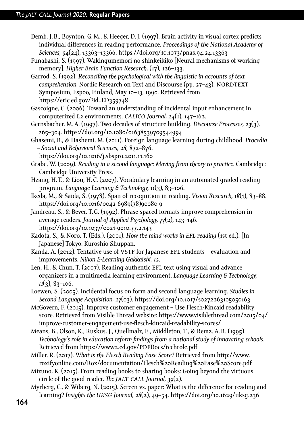- Demb, J.B., Boynton, G.M., & Heeger, D.J. (1997). Brain activity in visual cortex predicts individual differences in reading performance. *Proceedings of the National Academy of Sciences, 94*(24), 13363–13366. https://doi.org/10.1073/pnas.94.24.13363
- Funabashi, S. (1997). Wakingumemori no shinkeikiko [Neural mechanisms of working memory]. *Higher Brain Function Research*, (17), 126–133.
- Garrod, S. (1992). *Reconciling the psychological with the linguistic in accounts of text comprehension.* Nordic Research on Text and Discourse (pp. 27–43). NORDTEXT Symposium, Espoo, Finland, May 10–13, 1990. Retrieved from https://eric.ed.gov/?id=ED359748
- Gascoigne, C. (2006). Toward an understanding of incidental input enhancement in computerized l2 environments. *calico Journal, 24*(1), 147–162.

Gernsbacher, M.A. (1997). Two decades of structure building. *Discourse Processes, 23*(3), 265–304. https://doi.org/10.1080/01638539709544994

Ghasemi, B., & Hashemi, M. (2011). Foreign language learning during childhood. *Procedia – Social and Behavioral Sciences, 28,* 872–876.

https://doi.org/10.1016/j.sbspro.2011.11.160

Grabe, W. (2009). *Reading in a second language: Moving from theory to practice.* Cambridge: Cambridge University Press.

Hzang, H.T., & Liou, H.C. (2007). Vocabulary learning in an automated graded reading program. *Language Learning & Technology, 11*(3), 83–106.

Ikeda, M., & Saida, S. (1978). Span of recognition in reading. *Vision Research, 18*(1), 83–88. https://doi.org/10.1016/0042-6989(78)90080-9

Jandreau, S., & Bever, T.G. (1992). Phrase-spaced formats improve comprehension in average readers. *Journal of Applied Psychology, 77*(2), 143–146. https://doi.org/10.1037/0021-9010.77.2.143

Kadota, S., & Noro, T. (Eds.). (2001). *How the mind works in efl reading* (1st ed.). [In Japanese] Tokyo: Kuroshio Shuppan.

Kanda, A. (2012). Tentative use of VSTF for Japanese EFL students - evaluation and improvements. *Nihon E-Learning Gakkaishi, 12*.

Len, H., & Chun, T. (2007). Reading authentic EFL text using visual and advance organizers in a multimedia learning environment. *Language Learning & Technology, 11*(3), 83–106.

Loewen, S. (2005). Incidental focus on form and second language learning. *Studies in Second Language Acquisition, 27*(03). https://doi.org/10.1017/s0272263105050163

McGovern, F. (2015). Improve customer engagement – Use Flesch-Kincaid readability score. Retrieved from Visible Thread website: https://www.visiblethread.com/2015/04/ improve-customer-engagement-use-flesch-kincaid-readability-scores/

Means, B., Olson, K., Ruskus, J., Quellmalz, E., Middleton, T., & Remz, A.R. (1995). *Technology's role in education reform findings from a national study of innovating schools.* Retrieved from https://www2.ed.qov/PDFDocs/techrole.pdf

Miller, R. (2017). *What is the Flesch Reading Ease Score?* Retrieved from http://www. roxifyonline.com/Rox/documentation/Flesch%20Reading%20Ease%20Score.pdf

Mizuno, K. (2015). From reading books to sharing books: Going beyond the virtuous circle of the good reader. *The jalt call Journal, 39*(2).

Myrberg, C., & Wiberg, N. (2015). Screen vs. paper: What is the difference for reading and learning? *Insights the uksg Journal, 28*(2), 49–54. https://doi.org/10.1629/uksg.236